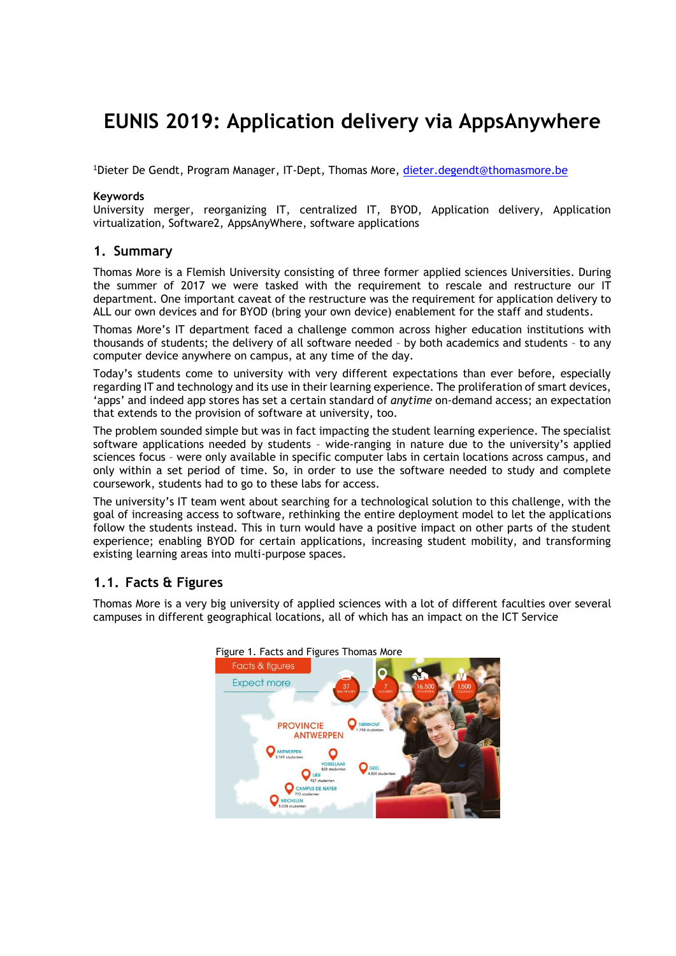# **EUNIS 2019: Application delivery via AppsAnywhere**

<sup>1</sup>Dieter De Gendt, Program Manager, IT-Dept, Thomas More, [dieter.degendt@thomasmore.be](mailto:dieter.degendt@thomasmore.be)

#### **Keywords**

University merger, reorganizing IT, centralized IT, BYOD, Application delivery, Application virtualization, Software2, AppsAnyWhere, software applications

#### **1. Summary**

Thomas More is a Flemish University consisting of three former applied sciences Universities. During the summer of 2017 we were tasked with the requirement to rescale and restructure our IT department. One important caveat of the restructure was the requirement for application delivery to ALL our own devices and for BYOD (bring your own device) enablement for the staff and students.

Thomas More's IT department faced a challenge common across higher education institutions with thousands of students; the delivery of all software needed – by both academics and students – to any computer device anywhere on campus, at any time of the day.

Today's students come to university with very different expectations than ever before, especially regarding IT and technology and its use in their learning experience. The proliferation of smart devices, 'apps' and indeed app stores has set a certain standard of *anytime* on-demand access; an expectation that extends to the provision of software at university, too.

The problem sounded simple but was in fact impacting the student learning experience. The specialist software applications needed by students – wide-ranging in nature due to the university's applied sciences focus – were only available in specific computer labs in certain locations across campus, and only within a set period of time. So, in order to use the software needed to study and complete coursework, students had to go to these labs for access.

The university's IT team went about searching for a technological solution to this challenge, with the goal of increasing access to software, rethinking the entire deployment model to let the applications follow the students instead. This in turn would have a positive impact on other parts of the student experience; enabling BYOD for certain applications, increasing student mobility, and transforming existing learning areas into multi-purpose spaces.

## **1.1. Facts & Figures**

Thomas More is a very big university of applied sciences with a lot of different faculties over several campuses in different geographical locations, all of which has an impact on the ICT Service



Figure 1. Facts and Figures Thomas More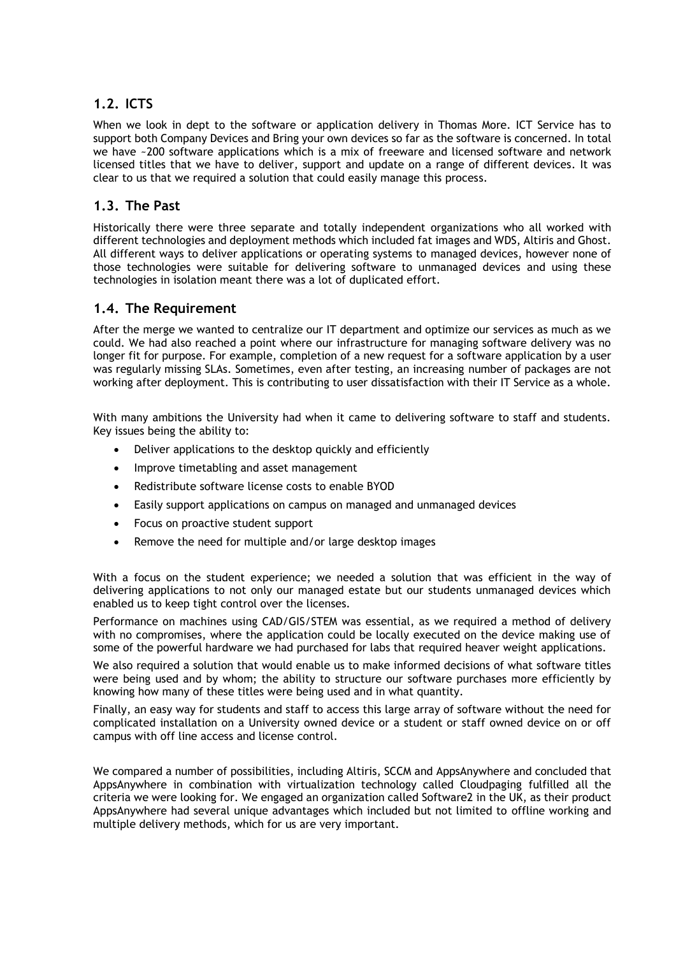# **1.2. ICTS**

When we look in dept to the software or application delivery in Thomas More. ICT Service has to support both Company Devices and Bring your own devices so far as the software is concerned. In total we have ~200 software applications which is a mix of freeware and licensed software and network licensed titles that we have to deliver, support and update on a range of different devices. It was clear to us that we required a solution that could easily manage this process.

# **1.3. The Past**

Historically there were three separate and totally independent organizations who all worked with different technologies and deployment methods which included fat images and WDS, Altiris and Ghost. All different ways to deliver applications or operating systems to managed devices, however none of those technologies were suitable for delivering software to unmanaged devices and using these technologies in isolation meant there was a lot of duplicated effort.

## **1.4. The Requirement**

After the merge we wanted to centralize our IT department and optimize our services as much as we could. We had also reached a point where our infrastructure for managing software delivery was no longer fit for purpose. For example, completion of a new request for a software application by a user was regularly missing SLAs. Sometimes, even after testing, an increasing number of packages are not working after deployment. This is contributing to user dissatisfaction with their IT Service as a whole.

With many ambitions the University had when it came to delivering software to staff and students. Key issues being the ability to:

- Deliver applications to the desktop quickly and efficiently
- Improve timetabling and asset management
- Redistribute software license costs to enable BYOD
- Easily support applications on campus on managed and unmanaged devices
- Focus on proactive student support
- Remove the need for multiple and/or large desktop images

With a focus on the student experience; we needed a solution that was efficient in the way of delivering applications to not only our managed estate but our students unmanaged devices which enabled us to keep tight control over the licenses.

Performance on machines using CAD/GIS/STEM was essential, as we required a method of delivery with no compromises, where the application could be locally executed on the device making use of some of the powerful hardware we had purchased for labs that required heaver weight applications.

We also required a solution that would enable us to make informed decisions of what software titles were being used and by whom; the ability to structure our software purchases more efficiently by knowing how many of these titles were being used and in what quantity.

Finally, an easy way for students and staff to access this large array of software without the need for complicated installation on a University owned device or a student or staff owned device on or off campus with off line access and license control.

We compared a number of possibilities, including Altiris, SCCM and AppsAnywhere and concluded that AppsAnywhere in combination with virtualization technology called Cloudpaging fulfilled all the criteria we were looking for. We engaged an organization called Software2 in the UK, as their product AppsAnywhere had several unique advantages which included but not limited to offline working and multiple delivery methods, which for us are very important.